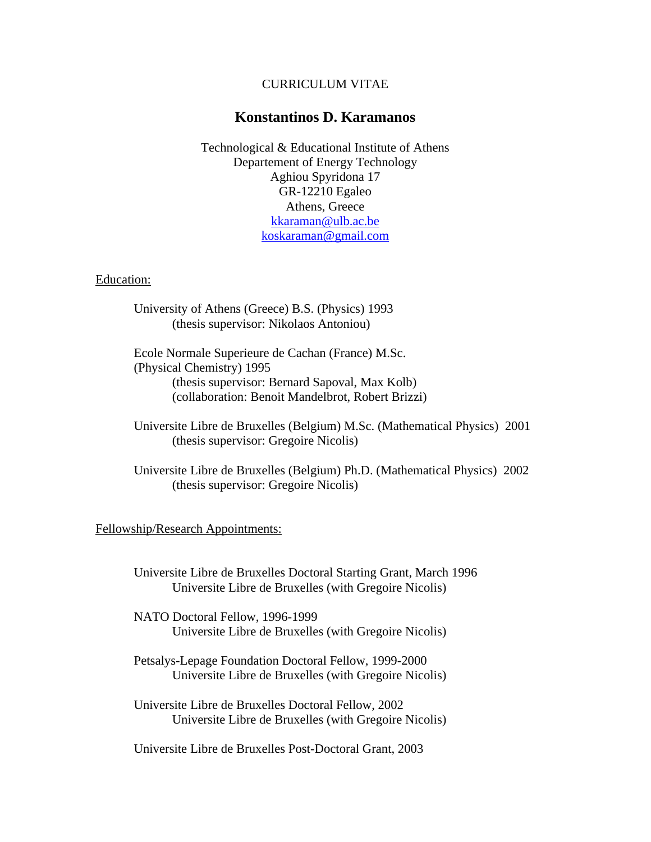### CURRICULUM VITAE

## **Konstantinos D. Karamanos**

Technological & Educational Institute of Athens Departement of Energy Technology Aghiou Spyridona 17 GR-12210 Egaleo Athens, Greece [kkaraman@ulb.ac.be](mailto:kkaraman@ulb.ac.be) [koskaraman@gmail.com](mailto:koskaraman@gmail.com)

#### Education:

University of Athens (Greece) B.S. (Physics) 1993 (thesis supervisor: Nikolaos Antoniou)

Ecole Normale Superieure de Cachan (France) M.Sc. (Physical Chemistry) 1995 (thesis supervisor: Bernard Sapoval, Max Kolb) (collaboration: Benoit Mandelbrot, Robert Brizzi)

Universite Libre de Bruxelles (Belgium) M.Sc. (Mathematical Physics) 2001 (thesis supervisor: Gregoire Nicolis)

Universite Libre de Bruxelles (Belgium) Ph.D. (Mathematical Physics) 2002 (thesis supervisor: Gregoire Nicolis)

Fellowship/Research Appointments:

Universite Libre de Bruxelles Doctoral Starting Grant, March 1996 Universite Libre de Bruxelles (with Gregoire Nicolis)

NATO Doctoral Fellow, 1996-1999 Universite Libre de Bruxelles (with Gregoire Nicolis)

Petsalys-Lepage Foundation Doctoral Fellow, 1999-2000 Universite Libre de Bruxelles (with Gregoire Nicolis)

Universite Libre de Bruxelles Doctoral Fellow, 2002 Universite Libre de Bruxelles (with Gregoire Nicolis)

Universite Libre de Bruxelles Post-Doctoral Grant, 2003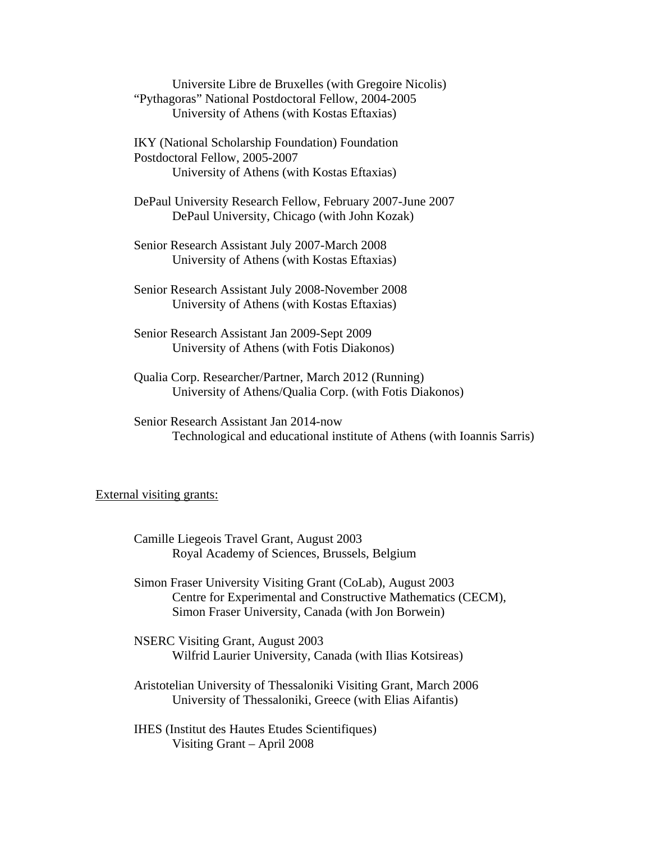Universite Libre de Bruxelles (with Gregoire Nicolis) "Pythagoras" National Postdoctoral Fellow, 2004-2005 University of Athens (with Kostas Eftaxias)

IKY (National Scholarship Foundation) Foundation Postdoctoral Fellow, 2005-2007 University of Athens (with Kostas Eftaxias)

DePaul University Research Fellow, February 2007-June 2007 DePaul University, Chicago (with John Kozak)

Senior Research Assistant July 2007-March 2008 University of Athens (with Kostas Eftaxias)

Senior Research Assistant July 2008-November 2008 University of Athens (with Kostas Eftaxias)

Senior Research Assistant Jan 2009-Sept 2009 University of Athens (with Fotis Diakonos)

Qualia Corp. Researcher/Partner, March 2012 (Running) University of Athens/Qualia Corp. (with Fotis Diakonos)

Senior Research Assistant Jan 2014-now Technological and educational institute of Athens (with Ioannis Sarris)

#### External visiting grants:

Camille Liegeois Travel Grant, August 2003 Royal Academy of Sciences, Brussels, Belgium

Simon Fraser University Visiting Grant (CoLab), August 2003 Centre for Experimental and Constructive Mathematics (CECM), Simon Fraser University, Canada (with Jon Borwein)

NSERC Visiting Grant, August 2003 Wilfrid Laurier University, Canada (with Ilias Kotsireas)

Aristotelian University of Thessaloniki Visiting Grant, March 2006 University of Thessaloniki, Greece (with Elias Aifantis)

IHES (Institut des Hautes Etudes Scientifiques) Visiting Grant – April 2008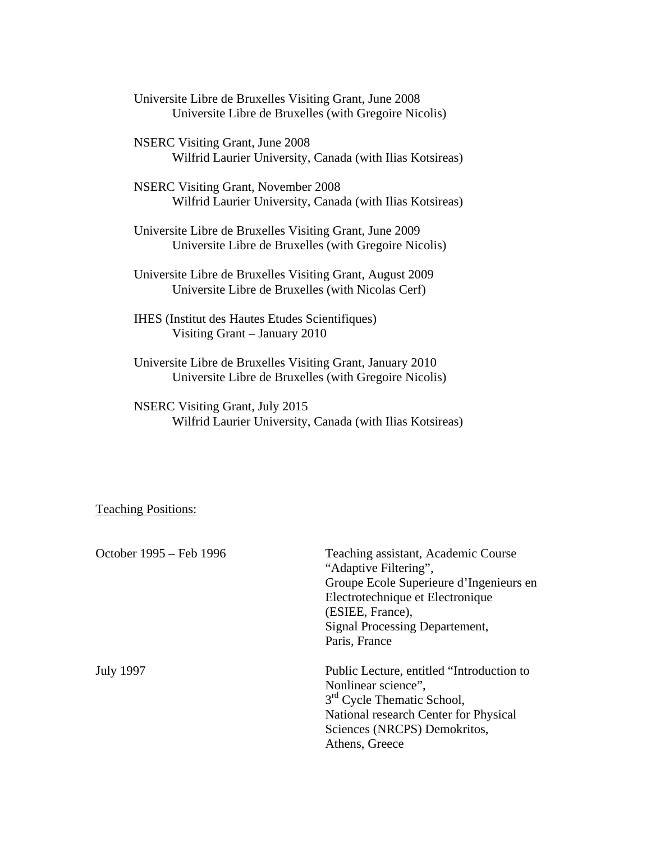Universite Libre de Bruxelles Visiting Grant, June 2008 Universite Libre de Bruxelles (with Gregoire Nicolis)

NSERC Visiting Grant, June 2008 Wilfrid Laurier University, Canada (with Ilias Kotsireas)

NSERC Visiting Grant, November 2008 Wilfrid Laurier University, Canada (with Ilias Kotsireas)

Universite Libre de Bruxelles Visiting Grant, June 2009 Universite Libre de Bruxelles (with Gregoire Nicolis)

Universite Libre de Bruxelles Visiting Grant, August 2009 Universite Libre de Bruxelles (with Nicolas Cerf)

IHES (Institut des Hautes Etudes Scientifiques) Visiting Grant – January 2010

Universite Libre de Bruxelles Visiting Grant, January 2010 Universite Libre de Bruxelles (with Gregoire Nicolis)

NSERC Visiting Grant, July 2015 Wilfrid Laurier University, Canada (with Ilias Kotsireas)

### Teaching Positions:

| October 1995 – Feb 1996 | Teaching assistant, Academic Course<br>"Adaptive Filtering",<br>Groupe Ecole Superieure d'Ingenieurs en<br>Electrotechnique et Electronique<br>(ESIEE, France),<br>Signal Processing Departement,<br>Paris, France |
|-------------------------|--------------------------------------------------------------------------------------------------------------------------------------------------------------------------------------------------------------------|
| <b>July 1997</b>        | Public Lecture, entitled "Introduction to<br>Nonlinear science",<br>3 <sup>rd</sup> Cycle Thematic School,<br>National research Center for Physical<br>Sciences (NRCPS) Demokritos,<br>Athens, Greece              |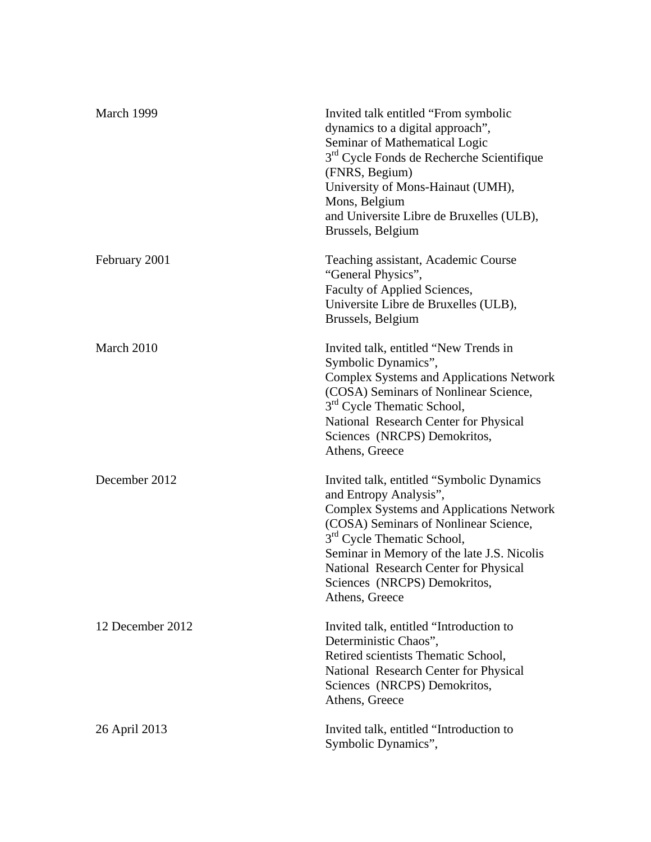| March 1999       | Invited talk entitled "From symbolic<br>dynamics to a digital approach",<br>Seminar of Mathematical Logic<br>3 <sup>rd</sup> Cycle Fonds de Recherche Scientifique<br>(FNRS, Begium)<br>University of Mons-Hainaut (UMH),<br>Mons, Belgium<br>and Universite Libre de Bruxelles (ULB),<br>Brussels, Belgium                                         |
|------------------|-----------------------------------------------------------------------------------------------------------------------------------------------------------------------------------------------------------------------------------------------------------------------------------------------------------------------------------------------------|
| February 2001    | Teaching assistant, Academic Course<br>"General Physics",<br>Faculty of Applied Sciences,<br>Universite Libre de Bruxelles (ULB),<br>Brussels, Belgium                                                                                                                                                                                              |
| March 2010       | Invited talk, entitled "New Trends in<br>Symbolic Dynamics",<br><b>Complex Systems and Applications Network</b><br>(COSA) Seminars of Nonlinear Science,<br>3 <sup>rd</sup> Cycle Thematic School,<br>National Research Center for Physical<br>Sciences (NRCPS) Demokritos,<br>Athens, Greece                                                       |
| December 2012    | Invited talk, entitled "Symbolic Dynamics"<br>and Entropy Analysis",<br><b>Complex Systems and Applications Network</b><br>(COSA) Seminars of Nonlinear Science,<br>3 <sup>rd</sup> Cycle Thematic School,<br>Seminar in Memory of the late J.S. Nicolis<br>National Research Center for Physical<br>Sciences (NRCPS) Demokritos,<br>Athens, Greece |
| 12 December 2012 | Invited talk, entitled "Introduction to<br>Deterministic Chaos",<br>Retired scientists Thematic School,<br>National Research Center for Physical<br>Sciences (NRCPS) Demokritos,<br>Athens, Greece                                                                                                                                                  |
| 26 April 2013    | Invited talk, entitled "Introduction to<br>Symbolic Dynamics",                                                                                                                                                                                                                                                                                      |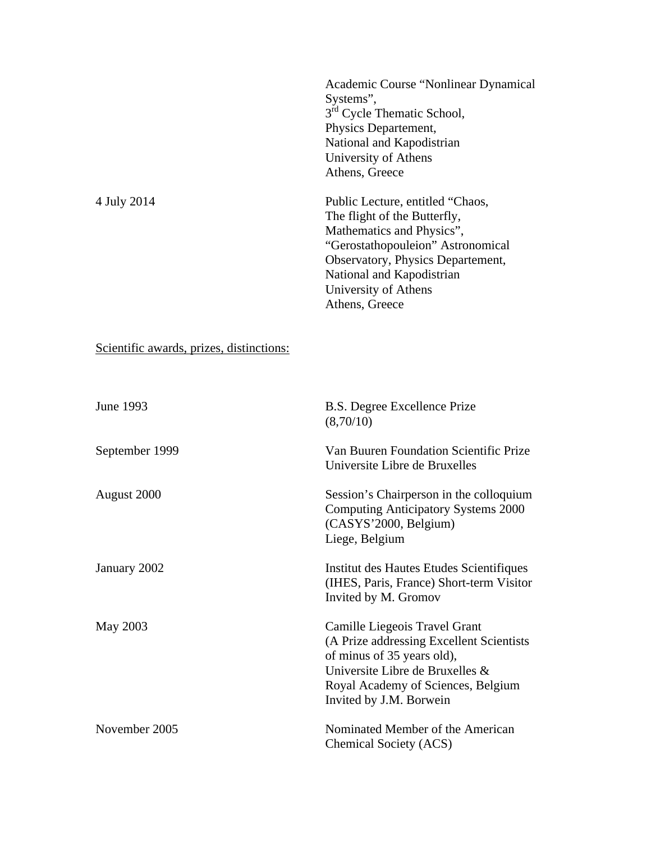|                                          | Academic Course "Nonlinear Dynamical<br>Systems",<br>3 <sup>rd</sup> Cycle Thematic School,<br>Physics Departement,<br>National and Kapodistrian<br>University of Athens<br>Athens, Greece                                                     |
|------------------------------------------|------------------------------------------------------------------------------------------------------------------------------------------------------------------------------------------------------------------------------------------------|
| 4 July 2014                              | Public Lecture, entitled "Chaos,<br>The flight of the Butterfly,<br>Mathematics and Physics",<br>"Gerostathopouleion" Astronomical<br>Observatory, Physics Departement,<br>National and Kapodistrian<br>University of Athens<br>Athens, Greece |
| Scientific awards, prizes, distinctions: |                                                                                                                                                                                                                                                |
| June 1993                                | B.S. Degree Excellence Prize<br>(8,70/10)                                                                                                                                                                                                      |
| September 1999                           | Van Buuren Foundation Scientific Prize<br>Universite Libre de Bruxelles                                                                                                                                                                        |
| August 2000                              | Session's Chairperson in the colloquium<br><b>Computing Anticipatory Systems 2000</b><br>(CASYS'2000, Belgium)<br>Liege, Belgium                                                                                                               |
| January 2002                             | Institut des Hautes Etudes Scientifiques<br>(IHES, Paris, France) Short-term Visitor<br>Invited by M. Gromov                                                                                                                                   |
| May 2003                                 | Camille Liegeois Travel Grant<br>(A Prize addressing Excellent Scientists<br>of minus of 35 years old),<br>Universite Libre de Bruxelles &<br>Royal Academy of Sciences, Belgium<br>Invited by J.M. Borwein                                    |
| November 2005                            | Nominated Member of the American<br><b>Chemical Society (ACS)</b>                                                                                                                                                                              |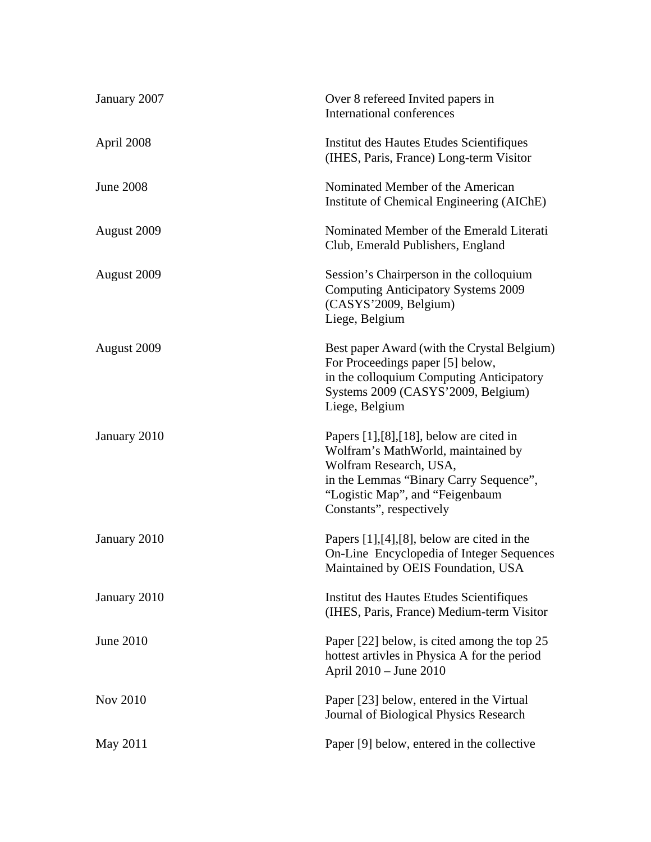| January 2007     | Over 8 refereed Invited papers in<br>International conferences                                                                                                                                                              |
|------------------|-----------------------------------------------------------------------------------------------------------------------------------------------------------------------------------------------------------------------------|
| April 2008       | Institut des Hautes Etudes Scientifiques<br>(IHES, Paris, France) Long-term Visitor                                                                                                                                         |
| <b>June 2008</b> | Nominated Member of the American<br>Institute of Chemical Engineering (AIChE)                                                                                                                                               |
| August 2009      | Nominated Member of the Emerald Literati<br>Club, Emerald Publishers, England                                                                                                                                               |
| August 2009      | Session's Chairperson in the colloquium<br><b>Computing Anticipatory Systems 2009</b><br>(CASYS'2009, Belgium)<br>Liege, Belgium                                                                                            |
| August 2009      | Best paper Award (with the Crystal Belgium)<br>For Proceedings paper [5] below,<br>in the colloquium Computing Anticipatory<br>Systems 2009 (CASYS'2009, Belgium)<br>Liege, Belgium                                         |
| January 2010     | Papers $[1]$ , $[8]$ , $[18]$ , below are cited in<br>Wolfram's MathWorld, maintained by<br>Wolfram Research, USA,<br>in the Lemmas "Binary Carry Sequence",<br>"Logistic Map", and "Feigenbaum<br>Constants", respectively |
| January 2010     | Papers [1], [4], [8], below are cited in the<br>On-Line Encyclopedia of Integer Sequences<br>Maintained by OEIS Foundation, USA                                                                                             |
| January 2010     | Institut des Hautes Etudes Scientifiques<br>(IHES, Paris, France) Medium-term Visitor                                                                                                                                       |
| June 2010        | Paper [22] below, is cited among the top 25<br>hottest artivles in Physica A for the period<br>April 2010 - June 2010                                                                                                       |
| <b>Nov 2010</b>  | Paper [23] below, entered in the Virtual<br>Journal of Biological Physics Research                                                                                                                                          |
| May 2011         | Paper [9] below, entered in the collective                                                                                                                                                                                  |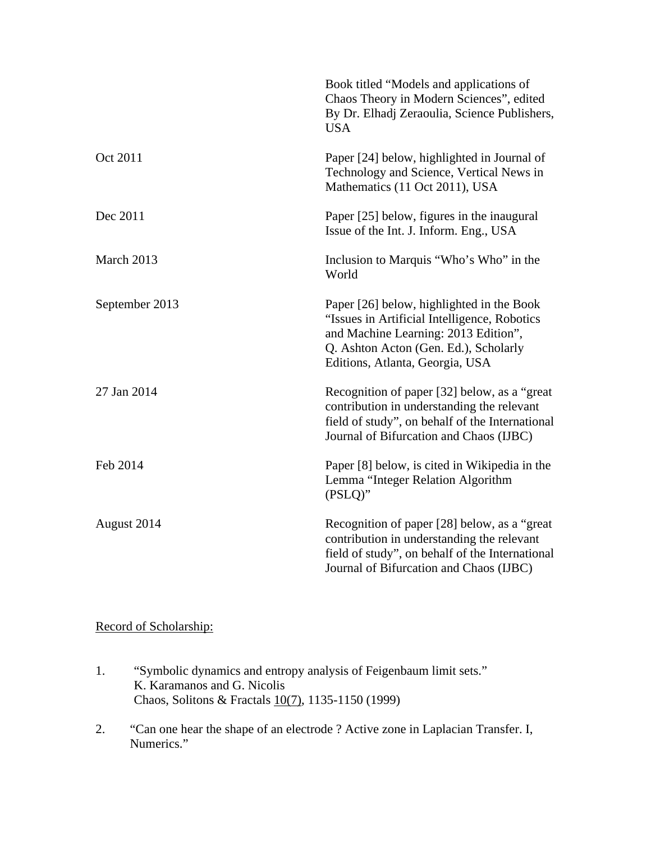|                | Book titled "Models and applications of<br>Chaos Theory in Modern Sciences", edited<br>By Dr. Elhadj Zeraoulia, Science Publishers,<br><b>USA</b>                                                             |
|----------------|---------------------------------------------------------------------------------------------------------------------------------------------------------------------------------------------------------------|
| Oct 2011       | Paper [24] below, highlighted in Journal of<br>Technology and Science, Vertical News in<br>Mathematics (11 Oct 2011), USA                                                                                     |
| Dec 2011       | Paper [25] below, figures in the inaugural<br>Issue of the Int. J. Inform. Eng., USA                                                                                                                          |
| March 2013     | Inclusion to Marquis "Who's Who" in the<br>World                                                                                                                                                              |
| September 2013 | Paper [26] below, highlighted in the Book<br>"Issues in Artificial Intelligence, Robotics<br>and Machine Learning: 2013 Edition",<br>Q. Ashton Acton (Gen. Ed.), Scholarly<br>Editions, Atlanta, Georgia, USA |
| 27 Jan 2014    | Recognition of paper [32] below, as a "great"<br>contribution in understanding the relevant<br>field of study", on behalf of the International<br>Journal of Bifurcation and Chaos (IJBC)                     |
| Feb 2014       | Paper [8] below, is cited in Wikipedia in the<br>Lemma "Integer Relation Algorithm<br>$(PSLQ)$ "                                                                                                              |
| August 2014    | Recognition of paper [28] below, as a "great<br>contribution in understanding the relevant<br>field of study", on behalf of the International<br>Journal of Bifurcation and Chaos (IJBC)                      |

# Record of Scholarship:

- 1. "Symbolic dynamics and entropy analysis of Feigenbaum limit sets." K. Karamanos and G. Nicolis Chaos, Solitons & Fractals 10(7), 1135-1150 (1999)
- 2. "Can one hear the shape of an electrode ? Active zone in Laplacian Transfer. I, Numerics."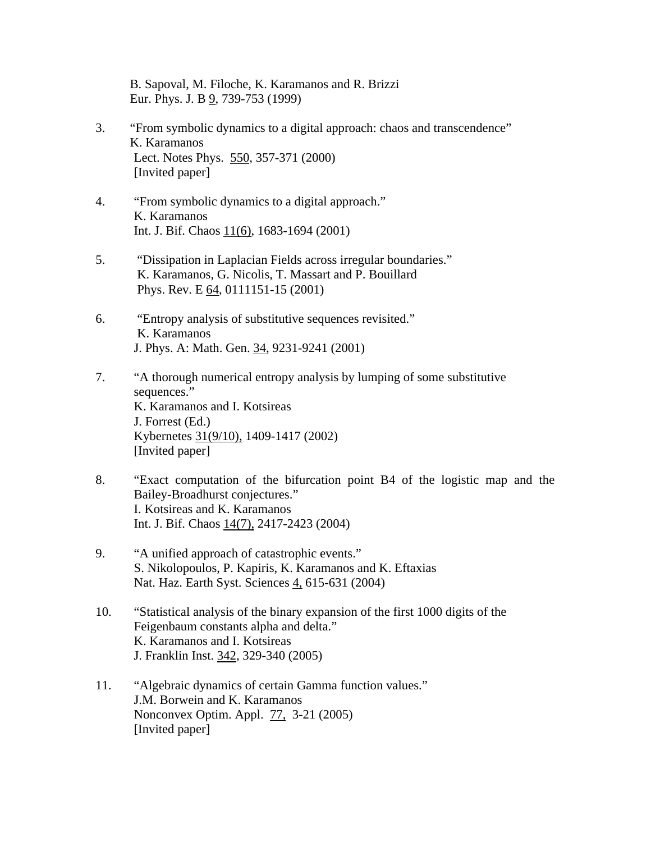B. Sapoval, M. Filoche, K. Karamanos and R. Brizzi Eur. Phys. J. B 9, 739-753 (1999)

- 3. "From symbolic dynamics to a digital approach: chaos and transcendence" K. Karamanos Lect. Notes Phys. 550, 357-371 (2000) [Invited paper]
- 4. "From symbolic dynamics to a digital approach." K. Karamanos Int. J. Bif. Chaos  $11(6)$ , 1683-1694 (2001)
- 5. "Dissipation in Laplacian Fields across irregular boundaries." K. Karamanos, G. Nicolis, T. Massart and P. Bouillard Phys. Rev. E 64, 0111151-15 (2001)
- 6. "Entropy analysis of substitutive sequences revisited." K. Karamanos J. Phys. A: Math. Gen. 34, 9231-9241 (2001)
- 7. "A thorough numerical entropy analysis by lumping of some substitutive sequences." K. Karamanos and I. Kotsireas J. Forrest (Ed.) Kybernetes 31(9/10), 1409-1417 (2002) [Invited paper]
- 8. "Exact computation of the bifurcation point B4 of the logistic map and the Bailey-Broadhurst conjectures." I. Kotsireas and K. Karamanos Int. J. Bif. Chaos 14(7), 2417-2423 (2004)
- 9. "A unified approach of catastrophic events." S. Nikolopoulos, P. Kapiris, K. Karamanos and K. Eftaxias Nat. Haz. Earth Syst. Sciences 4, 615-631 (2004)
- 10. "Statistical analysis of the binary expansion of the first 1000 digits of the Feigenbaum constants alpha and delta." K. Karamanos and I. Kotsireas J. Franklin Inst. 342, 329-340 (2005)
- 11. "Algebraic dynamics of certain Gamma function values." J.M. Borwein and K. Karamanos Nonconvex Optim. Appl. 77, 3-21 (2005) [Invited paper]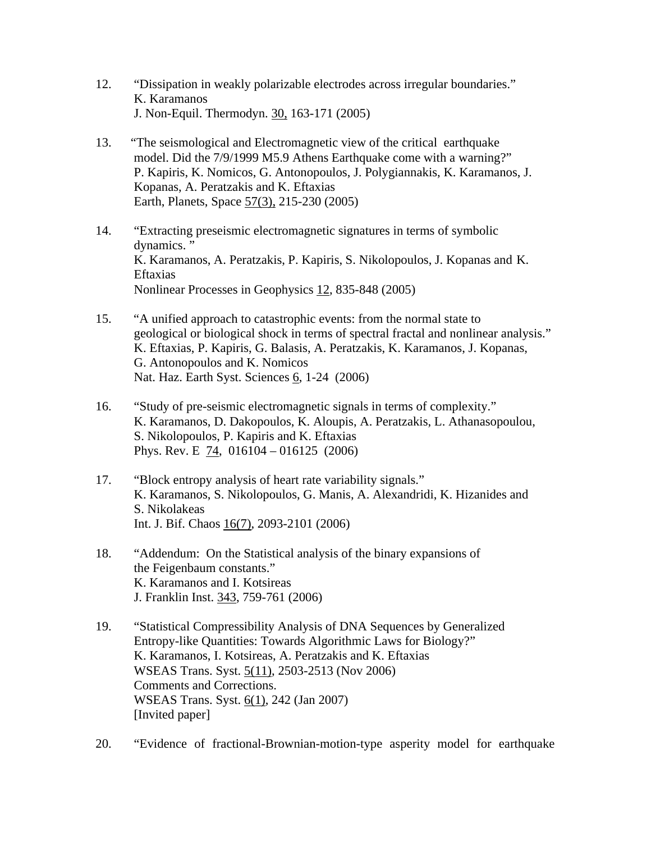- 12. "Dissipation in weakly polarizable electrodes across irregular boundaries." K. Karamanos J. Non-Equil. Thermodyn. 30, 163-171 (2005)
- 13. "The seismological and Electromagnetic view of the critical earthquake model. Did the 7/9/1999 M5.9 Athens Earthquake come with a warning?" P. Kapiris, K. Nomicos, G. Antonopoulos, J. Polygiannakis, K. Karamanos, J. Kopanas, A. Peratzakis and K. Eftaxias Earth, Planets, Space 57(3), 215-230 (2005)
- 14. "Extracting preseismic electromagnetic signatures in terms of symbolic dynamics." K. Karamanos, A. Peratzakis, P. Kapiris, S. Nikolopoulos, J. Kopanas and K. Eftaxias Nonlinear Processes in Geophysics 12, 835-848 (2005)
- 15. "A unified approach to catastrophic events: from the normal state to geological or biological shock in terms of spectral fractal and nonlinear analysis." K. Eftaxias, P. Kapiris, G. Balasis, A. Peratzakis, K. Karamanos, J. Kopanas, G. Antonopoulos and K. Nomicos Nat. Haz. Earth Syst. Sciences 6, 1-24 (2006)
- 16. "Study of pre-seismic electromagnetic signals in terms of complexity." K. Karamanos, D. Dakopoulos, K. Aloupis, A. Peratzakis, L. Athanasopoulou, S. Nikolopoulos, P. Kapiris and K. Eftaxias Phys. Rev. E 74, 016104 – 016125 (2006)
- 17. "Block entropy analysis of heart rate variability signals." K. Karamanos, S. Nikolopoulos, G. Manis, A. Alexandridi, K. Hizanides and S. Nikolakeas Int. J. Bif. Chaos 16(7), 2093-2101 (2006)
- 18. "Addendum: On the Statistical analysis of the binary expansions of the Feigenbaum constants." K. Karamanos and I. Kotsireas J. Franklin Inst. 343, 759-761 (2006)
- 19. "Statistical Compressibility Analysis of DNA Sequences by Generalized Entropy-like Quantities: Towards Algorithmic Laws for Biology?" K. Karamanos, I. Kotsireas, A. Peratzakis and K. Eftaxias WSEAS Trans. Syst. 5(11), 2503-2513 (Nov 2006) Comments and Corrections. WSEAS Trans. Syst. 6(1), 242 (Jan 2007) [Invited paper]
- 20. "Evidence of fractional-Brownian-motion-type asperity model for earthquake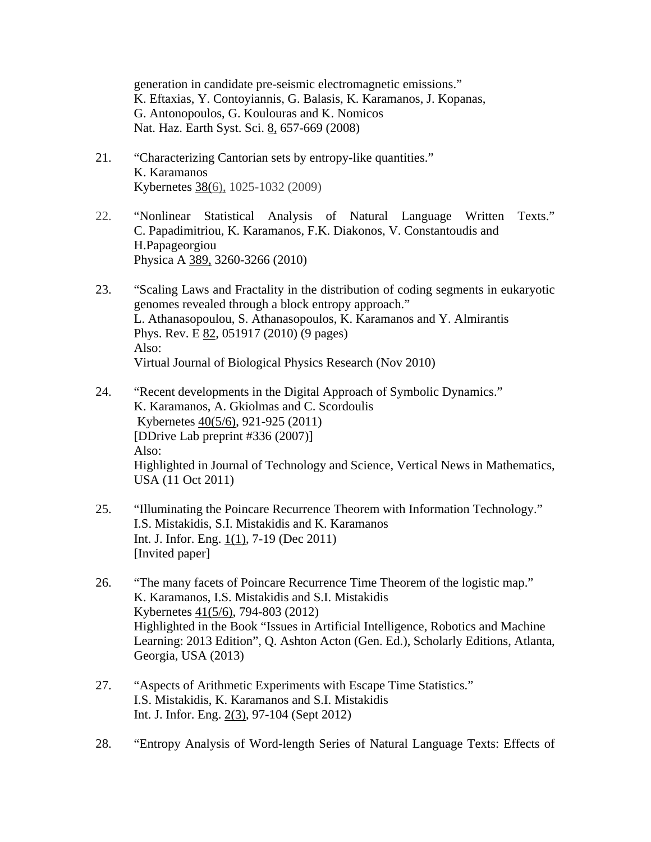generation in candidate pre-seismic electromagnetic emissions." K. Eftaxias, Y. Contoyiannis, G. Balasis, K. Karamanos, J. Kopanas, G. Antonopoulos, G. Koulouras and K. Nomicos Nat. Haz. Earth Syst. Sci. 8, 657-669 (2008)

- 21. "Characterizing Cantorian sets by entropy-like quantities." K. Karamanos Kybernetes 38(6), 1025-1032 (2009)
- 22. "Nonlinear Statistical Analysis of Natural Language Written Texts." C. Papadimitriou, K. Karamanos, F.K. Diakonos, V. Constantoudis and H.Papageorgiou Physica A 389, 3260-3266 (2010)
- 23. "Scaling Laws and Fractality in the distribution of coding segments in eukaryotic genomes revealed through a block entropy approach." L. Athanasopoulou, S. Athanasopoulos, K. Karamanos and Y. Almirantis Phys. Rev. E 82, 051917 (2010) (9 pages) Also: Virtual Journal of Biological Physics Research (Nov 2010)
- 24. "Recent developments in the Digital Approach of Symbolic Dynamics." K. Karamanos, A. Gkiolmas and C. Scordoulis Kybernetes 40(5/6), 921-925 (2011) [DDrive Lab preprint #336 (2007)] Also: Highlighted in Journal of Technology and Science, Vertical News in Mathematics, USA (11 Oct 2011)
- 25. "Illuminating the Poincare Recurrence Theorem with Information Technology." I.S. Mistakidis, S.I. Mistakidis and K. Karamanos Int. J. Infor. Eng. 1(1), 7-19 (Dec 2011) [Invited paper]
- 26. "The many facets of Poincare Recurrence Time Theorem of the logistic map." K. Karamanos, I.S. Mistakidis and S.I. Mistakidis Kybernetes 41(5/6), 794-803 (2012) Highlighted in the Book "Issues in Artificial Intelligence, Robotics and Machine Learning: 2013 Edition", Q. Ashton Acton (Gen. Ed.), Scholarly Editions, Atlanta, Georgia, USA (2013)
- 27. "Aspects of Arithmetic Experiments with Escape Time Statistics." I.S. Mistakidis, K. Karamanos and S.I. Mistakidis Int. J. Infor. Eng. 2(3), 97-104 (Sept 2012)
- 28. "Entropy Analysis of Word-length Series of Natural Language Texts: Effects of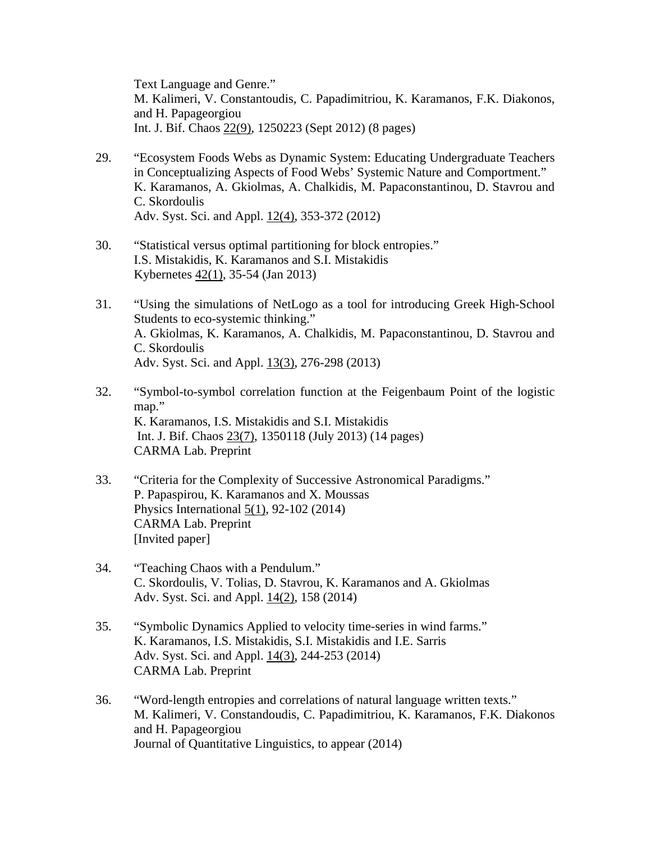Text Language and Genre." M. Kalimeri, V. Constantoudis, C. Papadimitriou, K. Karamanos, F.K. Diakonos, and H. Papageorgiou Int. J. Bif. Chaos 22(9), 1250223 (Sept 2012) (8 pages)

- 29. "Ecosystem Foods Webs as Dynamic System: Educating Undergraduate Teachers in Conceptualizing Aspects of Food Webs' Systemic Nature and Comportment." K. Karamanos, A. Gkiolmas, A. Chalkidis, M. Papaconstantinou, D. Stavrou and C. Skordoulis Adv. Syst. Sci. and Appl. 12(4), 353-372 (2012)
- 30. "Statistical versus optimal partitioning for block entropies." I.S. Mistakidis, K. Karamanos and S.I. Mistakidis Kybernetes 42(1), 35-54 (Jan 2013)
- 31. "Using the simulations of NetLogo as a tool for introducing Greek High-School Students to eco-systemic thinking." A. Gkiolmas, K. Karamanos, A. Chalkidis, M. Papaconstantinou, D. Stavrou and C. Skordoulis Adv. Syst. Sci. and Appl. 13(3), 276-298 (2013)
- 32. "Symbol-to-symbol correlation function at the Feigenbaum Point of the logistic map." K. Karamanos, I.S. Mistakidis and S.I. Mistakidis Int. J. Bif. Chaos 23(7), 1350118 (July 2013) (14 pages) CARMA Lab. Preprint
- 33. "Criteria for the Complexity of Successive Astronomical Paradigms." P. Papaspirou, K. Karamanos and X. Moussas Physics International 5(1), 92-102 (2014) CARMA Lab. Preprint [Invited paper]
- 34. "Teaching Chaos with a Pendulum." C. Skordoulis, V. Tolias, D. Stavrou, K. Karamanos and A. Gkiolmas Adv. Syst. Sci. and Appl. 14(2), 158 (2014)
- 35. "Symbolic Dynamics Applied to velocity time-series in wind farms." K. Karamanos, I.S. Mistakidis, S.I. Mistakidis and I.E. Sarris Adv. Syst. Sci. and Appl. 14(3), 244-253 (2014) CARMA Lab. Preprint
- 36. "Word-length entropies and correlations of natural language written texts." M. Kalimeri, V. Constandoudis, C. Papadimitriou, K. Karamanos, F.K. Diakonos and H. Papageorgiou Journal of Quantitative Linguistics, to appear (2014)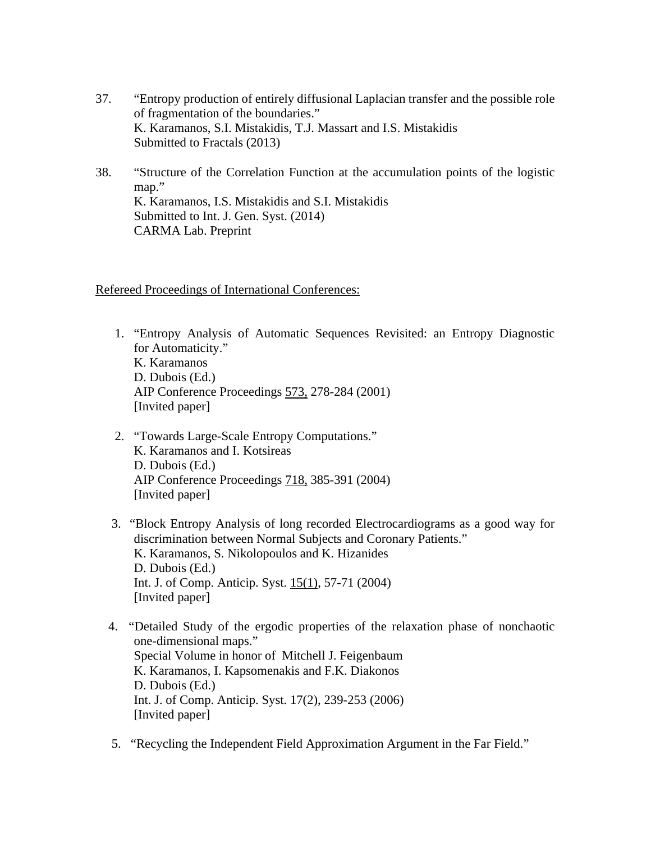- 37. "Entropy production of entirely diffusional Laplacian transfer and the possible role of fragmentation of the boundaries." K. Karamanos, S.I. Mistakidis, T.J. Massart and I.S. Mistakidis Submitted to Fractals (2013)
- 38. "Structure of the Correlation Function at the accumulation points of the logistic map." K. Karamanos, I.S. Mistakidis and S.I. Mistakidis Submitted to Int. J. Gen. Syst. (2014) CARMA Lab. Preprint

## Refereed Proceedings of International Conferences:

- 1. "Entropy Analysis of Automatic Sequences Revisited: an Entropy Diagnostic for Automaticity." K. Karamanos D. Dubois (Ed.) AIP Conference Proceedings 573, 278-284 (2001) [Invited paper]
- 2. "Towards Large-Scale Entropy Computations." K. Karamanos and I. Kotsireas D. Dubois (Ed.) AIP Conference Proceedings 718, 385-391 (2004) [Invited paper]
- 3. "Block Entropy Analysis of long recorded Electrocardiograms as a good way for discrimination between Normal Subjects and Coronary Patients." K. Karamanos, S. Nikolopoulos and K. Hizanides D. Dubois (Ed.) Int. J. of Comp. Anticip. Syst. 15(1), 57-71 (2004) [Invited paper]
- 4. "Detailed Study of the ergodic properties of the relaxation phase of nonchaotic one-dimensional maps." Special Volume in honor of Mitchell J. Feigenbaum K. Karamanos, I. Kapsomenakis and F.K. Diakonos D. Dubois (Ed.) Int. J. of Comp. Anticip. Syst. 17(2), 239-253 (2006) [Invited paper]
- 5. "Recycling the Independent Field Approximation Argument in the Far Field."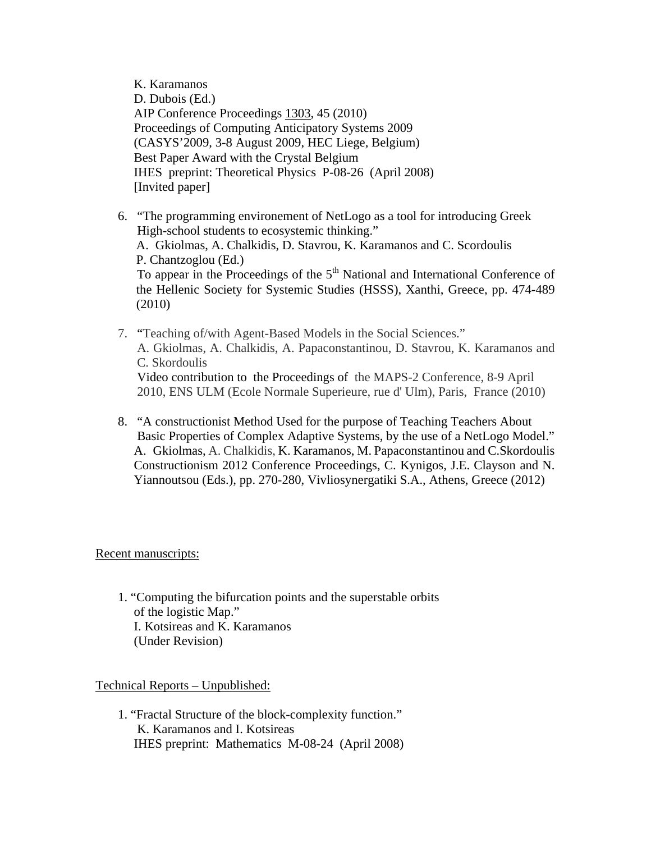K. Karamanos D. Dubois (Ed.) AIP Conference Proceedings 1303, 45 (2010) Proceedings of Computing Anticipatory Systems 2009 (CASYS'2009, 3-8 August 2009, HEC Liege, Belgium) Best Paper Award with the Crystal Belgium IHES preprint: Theoretical Physics P-08-26 (April 2008) [Invited paper]

- 6. "The programming environement of NetLogo as a tool for introducing Greek High-school students to ecosystemic thinking." A. Gkiolmas, A. Chalkidis, D. Stavrou, K. Karamanos and C. Scordoulis P. Chantzoglou (Ed.) To appear in the Proceedings of the 5<sup>th</sup> National and International Conference of the Hellenic Society for Systemic Studies (HSSS), Xanthi, Greece, pp. 474-489 (2010)
- 7. "Teaching of/with Agent-Based Models in the Social Sciences." A. Gkiolmas, A. Chalkidis, A. Papaconstantinou, D. Stavrou, K. Karamanos and C. Skordoulis Video contribution to the Proceedings of the MAPS-2 Conference, 8-9 April 2010, ENS ULM (Ecole Normale Superieure, rue d' Ulm), Paris, France (2010)
- 8. "A constructionist Method Used for the purpose of Teaching Teachers About Basic Properties of Complex Adaptive Systems, by the use of a NetLogo Model." A. Gkiolmas, A. Chalkidis, K. Karamanos, M. Papaconstantinou and C.Skordoulis Constructionism 2012 Conference Proceedings, C. Kynigos, J.E. Clayson and N. Yiannoutsou (Eds.), pp. 270-280, Vivliosynergatiki S.A., Athens, Greece (2012)

## Recent manuscripts:

 1. "Computing the bifurcation points and the superstable orbits of the logistic Map." I. Kotsireas and K. Karamanos (Under Revision)

Technical Reports – Unpublished:

1. "Fractal Structure of the block-complexity function." K. Karamanos and I. Kotsireas IHES preprint: Mathematics M-08-24 (April 2008)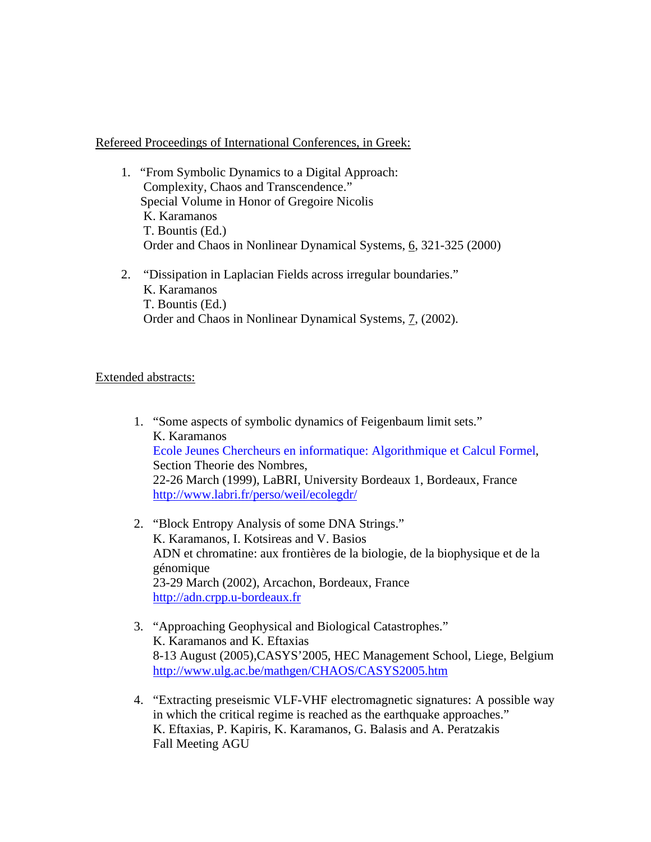### Refereed Proceedings of International Conferences, in Greek:

- 1. "From Symbolic Dynamics to a Digital Approach: Complexity, Chaos and Transcendence." Special Volume in Honor of Gregoire Nicolis K. Karamanos T. Bountis (Ed.) Order and Chaos in Nonlinear Dynamical Systems, 6, 321-325 (2000)
- 2. "Dissipation in Laplacian Fields across irregular boundaries." K. Karamanos T. Bountis (Ed.) Order and Chaos in Nonlinear Dynamical Systems, 7, (2002).

## Extended abstracts:

- 1. "Some aspects of symbolic dynamics of Feigenbaum limit sets." K. Karamanos [Ecole Jeunes Chercheurs en informatique: Algorithmique et Calcul Formel](http://www.labri.fr/Perso/~weil/ecolegdr/), Section Theorie des Nombres, 22-26 March (1999), LaBRI, University Bordeaux 1, Bordeaux, France <http://www.labri.fr/perso/weil/ecolegdr/>
- 2. "Block Entropy Analysis of some DNA Strings." K. Karamanos, I. Kotsireas and V. Basios ADN et chromatine: aux frontières de la biologie, de la biophysique et de la génomique 23-29 March (2002), Arcachon, Bordeaux, France [http://adn.crpp.u-bordeaux.fr](http://adn.crpp.u-bordeaux.fr/)
- 3. "Approaching Geophysical and Biological Catastrophes." K. Karamanos and K. Eftaxias 8-13 August (2005),CASYS'2005, HEC Management School, Liege, Belgium <http://www.ulg.ac.be/mathgen/CHAOS/CASYS2005.htm>
- 4. "Extracting preseismic VLF-VHF electromagnetic signatures: A possible way in which the critical regime is reached as the earthquake approaches." K. Eftaxias, P. Kapiris, K. Karamanos, G. Balasis and A. Peratzakis Fall Meeting AGU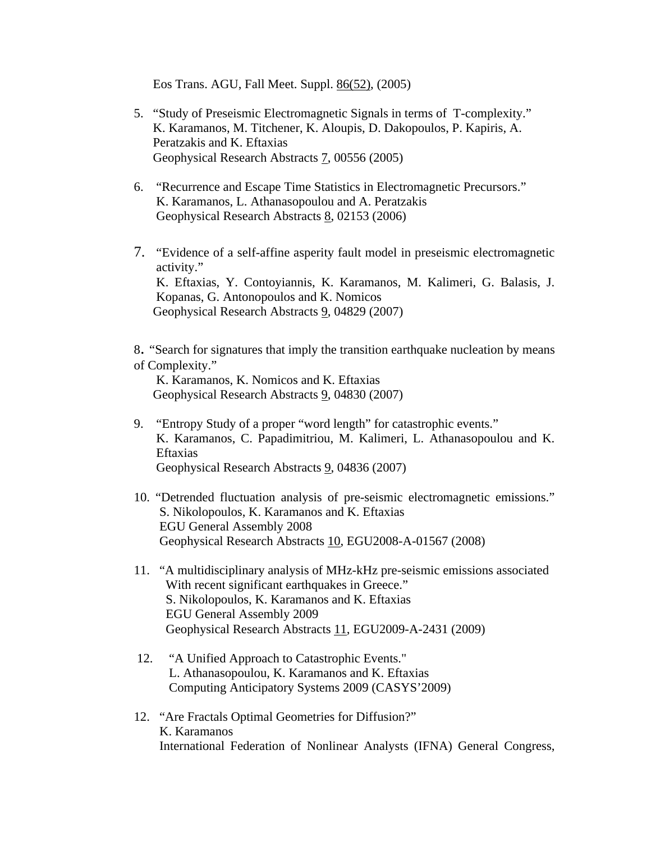Eos Trans. AGU, Fall Meet. Suppl. 86(52), (2005)

- 5. "Study of Preseismic Electromagnetic Signals in terms of T-complexity." K. Karamanos, M. Titchener, K. Aloupis, D. Dakopoulos, P. Kapiris, A. Peratzakis and K. Eftaxias Geophysical Research Abstracts 7, 00556 (2005)
- 6. "Recurrence and Escape Time Statistics in Electromagnetic Precursors." K. Karamanos, L. Athanasopoulou and A. Peratzakis Geophysical Research Abstracts 8, 02153 (2006)
- 7. "Evidence of a self-affine asperity fault model in preseismic electromagnetic activity." K. Eftaxias, Y. Contoyiannis, K. Karamanos, M. Kalimeri, G. Balasis, J. Kopanas, G. Antonopoulos and K. Nomicos Geophysical Research Abstracts 9, 04829 (2007)
- 8. "Search for signatures that imply the transition earthquake nucleation by means of Complexity."

 K. Karamanos, K. Nomicos and K. Eftaxias Geophysical Research Abstracts 9, 04830 (2007)

- 9. "Entropy Study of a proper "word length" for catastrophic events." K. Karamanos, C. Papadimitriou, M. Kalimeri, L. Athanasopoulou and K. Eftaxias Geophysical Research Abstracts 9, 04836 (2007)
- 10. "Detrended fluctuation analysis of pre-seismic electromagnetic emissions." S. Nikolopoulos, K. Karamanos and K. Eftaxias EGU General Assembly 2008 Geophysical Research Abstracts 10, EGU2008-A-01567 (2008)
- 11. "A multidisciplinary analysis of MHz-kHz pre-seismic emissions associated With recent significant earthquakes in Greece." S. Nikolopoulos, K. Karamanos and K. Eftaxias EGU General Assembly 2009 Geophysical Research Abstracts 11, EGU2009-A-2431 (2009)
- 12. "A Unified Approach to Catastrophic Events." L. Athanasopoulou, K. Karamanos and K. Eftaxias Computing Anticipatory Systems 2009 (CASYS'2009)
- 12. "Are Fractals Optimal Geometries for Diffusion?" K. Karamanos International Federation of Nonlinear Analysts (IFNA) General Congress,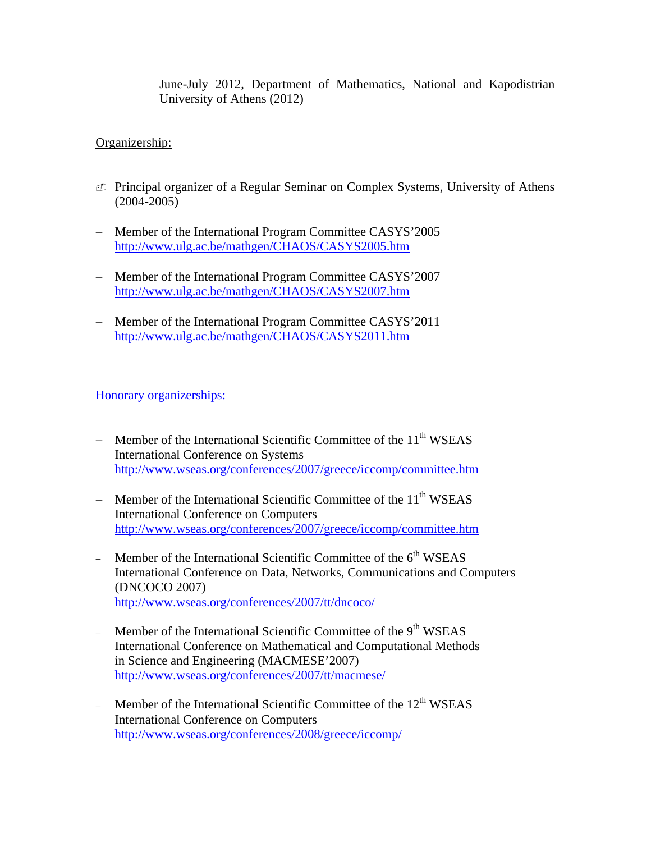June-July 2012, Department of Mathematics, National and Kapodistrian University of Athens (2012)

# Organizership:

- Principal organizer of a Regular Seminar on Complex Systems, University of Athens (2004-2005)
- Member of the International Program Committee CASYS'2005 <http://www.ulg.ac.be/mathgen/CHAOS/CASYS2005.htm>
- Member of the International Program Committee CASYS'2007 <http://www.ulg.ac.be/mathgen/CHAOS/CASYS2007.htm>
- Member of the International Program Committee CASYS'2011 <http://www.ulg.ac.be/mathgen/CHAOS/CASYS2011.htm>

# Honorary organizerships:

- Member of the International Scientific Committee of the  $11<sup>th</sup> WSEAS$ International Conference on Systems <http://www.wseas.org/conferences/2007/greece/iccomp/committee.htm>
- Member of the International Scientific Committee of the  $11<sup>th</sup> WSEAS$ International Conference on Computers http://www.wseas.org/conferences/2007/greece/iccomp/committee.htm
- Member of the International Scientific Committee of the  $6<sup>th</sup>$  WSEAS International Conference on Data, Networks, Communications and Computers (DNCOCO 2007) <http://www.wseas.org/conferences/2007/tt/dncoco/>
- Member of the International Scientific Committee of the 9<sup>th</sup> WSEAS International Conference on Mathematical and Computational Methods in Science and Engineering (MACMESE'2007) <http://www.wseas.org/conferences/2007/tt/macmese/>
- Member of the International Scientific Committee of the  $12<sup>th</sup> WSEAS$ International Conference on Computers <http://www.wseas.org/conferences/2008/greece/iccomp/>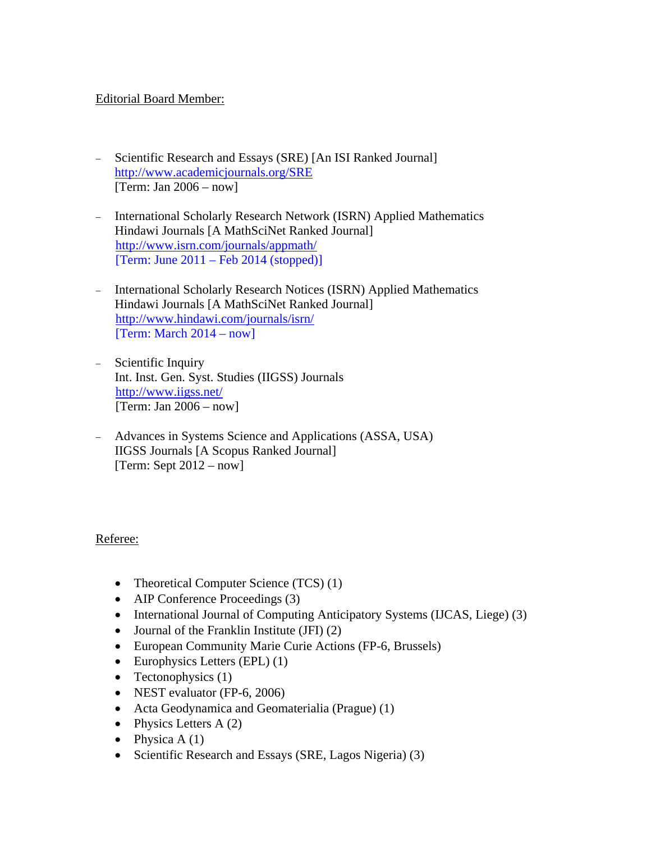# Editorial Board Member:

- Scientific Research and Essays (SRE) [An ISI Ranked Journal] http://www.academicjournals.org/SRE [Term: Jan 2006 – now]
- International Scholarly Research Network (ISRN) Applied Mathematics Hindawi Journals [A MathSciNet Ranked Journal] <http://www.isrn.com/journals/appmath/> [Term: June 2011 – Feb 2014 (stopped)]
- International Scholarly Research Notices (ISRN) Applied Mathematics Hindawi Journals [A MathSciNet Ranked Journal] http://www.hindawi.com/journals/isrn/ [Term: March 2014 – now]
- Scientific Inquiry Int. Inst. Gen. Syst. Studies (IIGSS) Journals http://www.iigss.net/ [Term: Jan 2006 – now]
- Advances in Systems Science and Applications (ASSA, USA) IIGSS Journals [A Scopus Ranked Journal] [Term: Sept  $2012 - now$ ]

## Referee:

- Theoretical Computer Science  $(TCS)$  (1)
- $\bullet$  AIP Conference Proceedings (3)
- International Journal of Computing Anticipatory Systems (IJCAS, Liege) (3)
- Journal of the Franklin Institute (JFI)  $(2)$
- European Community Marie Curie Actions (FP-6, Brussels)
- $\bullet$  Europhysics Letters (EPL) (1)
- Tectonophysics  $(1)$
- NEST evaluator (FP-6, 2006)
- $\bullet$  Acta Geodynamica and Geomaterialia (Prague) (1)
- Physics Letters  $A(2)$
- Physica  $A(1)$
- Scientific Research and Essays (SRE, Lagos Nigeria)  $(3)$